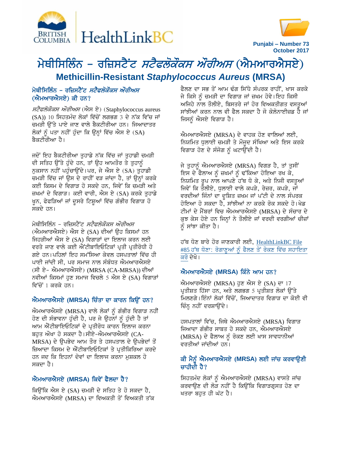



**Punjabi – Number 73 October 2017**

# ਮੇਥੀਸਿਲਿੰਨ – ਰਜ਼ਿਸਟੈਂਟ *ਸਟੈਫਲੋਕੌਕਸ ਔਰੀਅਸ* (ਐਮਆਰਐਸਏ) **Methicillin-Resistant** *Staphylococcus Aureus* **(MRSA)**

## ਮੇਥੀਸਿਲਿੰਨ – ਰਜ਼ਿਸਟੈਂਟ *ਸਟੈਫਲੋਕੌਕਸ ਔਰੀਅਸ*  $(\overrightarrow{n}$ ਮਆਰਐਸਏ) ਕੀ ਹਨ?

ਸਟੈਫਲੋਕੌਕਸ ਔਰੀਅਸ (ਐਸ ਏ) (Staphylococcus aureus (SA)) 10 ਸਿਹਤਮੰਦ ਲੋਕਾਂ ਵਿੱਚੋਂ ਲਗਭਗ 3 ਦੇ ਨੱਕ ਵਿੱਚ ਜਾਂ ਚਮੜੀ ਉੱਤੇ ਪਾਏ ਜਾਣ ਵਾਲੇ ਬੈਕਟੀਰੀਆ ਹਨ। ਜਿਆਦਾਤਰ ਲੋਕਾਂ ਨੂੰ ਪਤਾ ਨਹੀਂ ਹੁੰਦਾ ਕਿ ਉਨ੍ਹਾਂ ਵਿੱਚ ਐਸ ਏ  $(SA)$ ਬੈਕਟੀਰੀਆ ਹੈ।

ਜਦੋਂ ਇਹ ਬੈਕਟੀਰੀਆ ਤੁਹਾਡੇ ਨੱਕ ਵਿੱਚ ਜਾਂ ਤੁਹਾਡੀ ਚਮੜੀ ਦੀ ਸਤਿਹ ਉੱਤੇ ਹੁੰਦੇ ਹਨ, ਤਾਂ ਉਹ ਆਮਤੌਰ ਤੇ ਤੁਹਾਨੂੰ ਨੁਕਸਾਨ ਨਹੀਂ ਪਹੁੰਚਾਉਂਦੇ।ਪਰ, ਜੇ ਐਸ ਏ (SA) ਤੁਹਾਡੀ ਚਮੜੀ ਵਿੱਚ ਜਾਂ ਉਸ ਦੇ ਰਾਹੀਂ ਵੜ ਜਾਂਦਾ ਹੈ, ਤਾਂ ਉਨ੍ਹਾਂ ਕਰਕੇ ਕਈ ਕਿਸਮ ਦੇ ਵਿਗਾੜ ਹੋ ਸਕਦੇ ਹਨ, ਜਿਵੇਂ ਕਿ ਚਮੜੀ ਅਤੇ ਜ਼ਖਮਾਂ ਦੇ ਵਿਗਾੜ। ਕਈ ਵਾਰੀ, ਐਸ ਏ (SA) ਕਰਕੇ ਤੁਹਾਡੇ ਖੁਨ, ਫੇਫੜਿਆਂ ਜਾਂ ਦੁਸਰੇ ਟਿਸ਼ੁਆਂ ਵਿੱਚ ਗੰਭੀਰ ਵਿਗਾੜ ਹੋ ਸਕਦੇ ਹਨ।

ਮੇਥੀਸਿਲਿੰਨ – ਰਜ਼ਿਸਟੈਂਟ *ਸਟੈਫਲੋਕੌਕਸ ਔਰੀਅਸ* (ਐਮਆਰਐਸਏ) ਐਸ ਏ (SA) ਦੀਆਂ ੳਹ ਕਿਸਮਾਂ ਹਨ ਜਿਹੜੀਆਂ ਐਸ ਏ (SA) ਵਿਗਾੜਾਂ ਦਾ ਇਲਾਜ ਕਰਨ ਲਈ ਵਰਤੇ ਜਾਣ ਵਾਲੇ ਕਈ ਐਂਟੀਬਾਇਓਟਿਕਾਂ ਪ੍ਰਤੀ ਪ੍ਰਤੀਰੋਧੀ ਹੋ ਗਏ ਹਨ।ਪਹਿਲਾਂ ਇਹ ਸਮੱਸਿਆ ਕੇਵਲ ਹਸਪਤਾਲਾਂ ਵਿੱਚ ਹੀ ਪਾਈ ਜਾਂਦੀ ਸੀ, ਪਰ ਸਮਾਜ ਨਾਲ ਸੰਬੰਧਤ ਐਮਆਰਐਸਏ (ਸੀ ਏ- ਐਮਆਰਐਸਏ) (MRSA (CA-MRSA)) ਦੀਆਂ ਨਵੀਆਂ ਕਿਸਮਾਂ ਹੁਣ ਸਮਾਜ ਵਿਚਲੇ 5 ਐਸ ਏ (SA) ਵਿਗਾੜਾਂ ਵਿੱਚੋਂ 1 ਕਰਕੇ ਹਨ।

#### $\hat{M}$ ਮਆਰਐਸਏ (MRSA) ਚਿੰਤਾ ਦਾ ਕਾਰਨ ਕਿਉਂ ਹਨ?

ਐਮਆਰਐਸਏ (MRSA) ਵਾਲੇ ਲੋਕਾਂ ਨੂੰ ਗੰਭੀਰ ਵਿਗਾੜ ਨਹੀਂ ਹੋਣ ਦੀ ਸੰਭਾਵਨਾ ਹੁੰਦੀ ਹੈ, ਪਰ ਜੇ ਉਹਨਾਂ ਨੂੰ ਹੁੰਦੀ ਹੈ ਤਾਂ ਆਮ ਐਂਟੀਬਾਇਓਟਿਕਾਂ ਦੇ ਪ੍ਰਤੀਰੋਧ ਕਾਰਨ ਇਲਾਜ ਕਰਨਾ ਬਹੁਤ ਔਖਾ ਹੋ ਸਕਦਾ ਹੈ।ਸੀਏ-ਐਮਆਰਐਸਏ (CA-MRSA) ਦੇ ਉਪਭੇਦ ਆਮ ਤੌਰ ਤੇ ਹਸਪਤਾਲ ਦੇ ਉਪਭੇਦਾਂ ਤੋਂ ਜ਼ਿਆਦਾ ਕਿਸਮ ਦੇ ਐਂਟੀਬਾਇਓਟਿਕਾਂ ਤੇ ਪ੍ਰਤੀਕਿਰਿਆ ਕਰਦੇ ਹਨ ਜਦ ਕਿ ਇਹਨਾਂ ਦੋਵਾਂ ਦਾ ਇਲਾਜ ਕਰਨਾ ਮੁਸ਼ਕਲ ਹੋ ਸਕਦਾ ਹੈ।

# $\hat{\mathbf{M}}$ ਮਆਰਐਸਏ (MRSA) ਕਿਵੇਂ ਫੈਲਦਾ ਹੈ?

ਕਿਉਂਕਿ ਐਸ ਏ (SA) ਚਮੜੀ ਦੇ ਸਤਿਹ ਤੇ ਹੋ ਸਕਦਾ ਹੈ, ਐਮਆਰਐਸਏ (MRSA) ਦਾ ਵਿਅਕਤੀ ਤੋਂ ਵਿਅਕਤੀ ਤੱਕ ਫੈਲਣ ਦਾ ਸਭ ਤੋਂ ਆਮ ਢੰਗ ਸਿੱਧੇ ਸੰਪਰਕ ਰਾਹੀਂ, ਖਾਸ ਕਰਕੇ ਜੇ ਕਿਸੇ ਨੂੰ ਚਮੜੀ ਦਾ ਵਿਗਾੜ ਜਾਂ ਜ਼ਖਮ ਹੋਵੇ।ਇਹ ਕਿਸੀ ਅਜਿਹੇ ਨਾਲ ਤੌਲੀਏ, ਬਿਸਤਰੇ ਜਾਂ ਹੋਰ ਵਿਅਕਤੀਗਤ ਵਸਤ**ਆਂ** ਸਾਂਝੀਆਂ ਕਰਨ ਨਾਲ ਵੀ ਫੈਲ ਸਕਦਾ ਹੈ ਜੋ ਕੋਲੋਨਾਈਜ਼ਡ ਹੈ ਜਾਂ ਜਿਸਨੂੰ ਐਸਏ ਵਿਗਾੜ ਹੈ।

ਐਮਆਰਐਸਏ (MRSA) ਦੇ ਵਾਹਕ ਹੋਣ ਵਾਲਿਆਂ ਲਈ, ਨਿਯਮਿਤ ਧੁਲਾਈ ਚਮੜੀ ਤੇ ਮੌਜੂਦ ਸੰਖਿਆ ਅਤੇ ਇਸ ਕਰਕੇ ਵਿਗਾੜ ਹੋਣ ਦੇ ਸੰਜੋਗ ਨੂੰ ਘਟਾਉਂਦੀ ਹੈ।

ਜੇ ਤੁਹਾਨੂੰ ਐਮਆਰਐਸਏ (MRSA) ਵਿਗੜ ਹੈ, ਤਾਂ ਤੁਸੀਂ ਇਸ ਦੇ ਫੈਲਾਅ ਨੂੰ ਜ਼ਖਮਾਂ ਨੂੰ ਢੱਕਿਆ ਹੋਇਆ ਰਖ ਕੇ, ਨਿਯਮਿਤ ਰੂਪ ਨਾਲ ਆਪਣੇ ਹੱਥ ਧੋ ਕੇ, ਅਤੇ ਨਿਜੀ ਵਸਤੂਆਂ ਜਿਵੇਂ ਕਿ ਤੌਲੀਏ, ਧੁਲਾਈ ਵਾਲੇ ਕਪੜੇ, ਰੇਜ਼ਰ, ਕਪੜੇ, ਜਾਂ ਵਰਦੀਆਂ ਜਿੰਨਾਂ ਦਾ ਦੁਸ਼ਿਤ ਜ਼ਖਮ ਜਾਂ ਪੱਟੀ ਦੇ ਨਾਲ ਸੰਪਰਕ ਹੋਇਆ ਹੋ ਸਕਦਾ ਹੈ. ਸਾਂਝੀਆਂ ਨਾ ਕਰਕੇ ਰੋਕ ਸਕਦੇ ਹੋ।ਖੇਡ ਟੀਮਾਂ ਦੇ ਮੈਂਬਰਾਂ ਵਿਚ ਐਮਆਰਐਸਏ (MRSA) ਦੇ ਸੰਚਾਰ ਦੇ ਕੁਝ ਕੇਸ ਹੋਏ ਹਨ ਜਿਨ੍ਹਾਂ ਨੇ ਤੌਲੀਏ ਜਾਂ ਵਰਦੀ ਵਰਗੀਆਂ ਚੀਜ਼ਾ<mark>ਂ</mark> ਨੂੰ ਸਾਂਝਾ ਕੀਤਾ ਹੈ।

ਹੱਥ ਧੋਣ ਬਾਰੇ ਹੋਰ ਜਾਣਕਾਰੀ ਲਈ, HealthLinkBC File #85 ਹੱਥ ਧੋਣਾ: ਰੋਗਾਣੂਆਂ ਨੂੰ ਫੈਲਣ ਤੋਂ ਰੋਕਣ ਵਿੱਚ ਸਹਾਇਤਾ ਕਰੋ ਦੇਖੋ।

#### $\hat{M}$ ਮਆਰਐਸਏ (MRSA) ਕਿੰਨੇ ਆਮ ਹਨ?

ਐਮਆਰਐਸਏ (MRSA) ਹੁਣ ਐਸ ਏ (SA) ਦਾ 17 ਪ੍ਰਤੀਸ਼ਤ ਹਿੱਸਾ ਹਨ, ਅਤੇ ਲਗਭਗ 5 ਪ੍ਰਤੀਸ਼ਤ ਲੋਕਾਂ ਉੱਤੇ ਮਿਲਣਗੇ।ਇੰਨਾਂ ਲੋਕਾਂ ਵਿੱਚੋਂ, ਜਿਆਦਾਤਰ ਵਿਗਾੜ ਦਾ ਕੋਈ ਵੀ ਚਿੰਨ੍ਹ ਨਹੀਂ ਦਰਸ਼ਾਉਂਦੇ।

ਹਸਪਤਾਲਾਂ ਵਿੱਚ, ਜਿਥੇ ਐਮਆਰਐਸਏ (MRSA) ਵਿਗਾੜ ਜਿਆਦਾ ਗੰਭੀਰ ਸਾਬਤ ਹੋ ਸਕਦੇ ਹਨ, ਐਮਆਰਐਸਏ (MRSA) ਦੇ ਫੈਲਾਅ ਨੂੰ ਰੋਕਣ ਲਈ ਖਾਸ ਸਾਵਧਾਨੀਆਂ ਵਰਤੀਆਂ ਜਾਂਦੀਆਂ ਹਨ।

#### ਕੀ ਮੈਨੂੰ ਐਮਆਰਐਸਏ (MRSA) ਲਈ ਜਾਂਚ ਕਰਵਾਉਣੀ ਚਾਹੀਦੀ ਹੈ $\overline{?}$

ਸਿਹਤਮੰਦ ਲੋਕਾਂ ਨੂੰ ਐਮਆਰਐਸਏ (MRSA) ਵਾਸਤੇ ਜਾਂਚ ਕਰਵਾਉਣ ਦੀ ਲੋੜ ਨਹੀਂ ਹੈ ਕਿਉਂਕਿ ਵਿਗਾੜਗੁਸਤ ਹੋਣ ਦਾ ਖਤਰਾ ਬਹਤ ਹੀ ਘੱਟ ਹੈ।